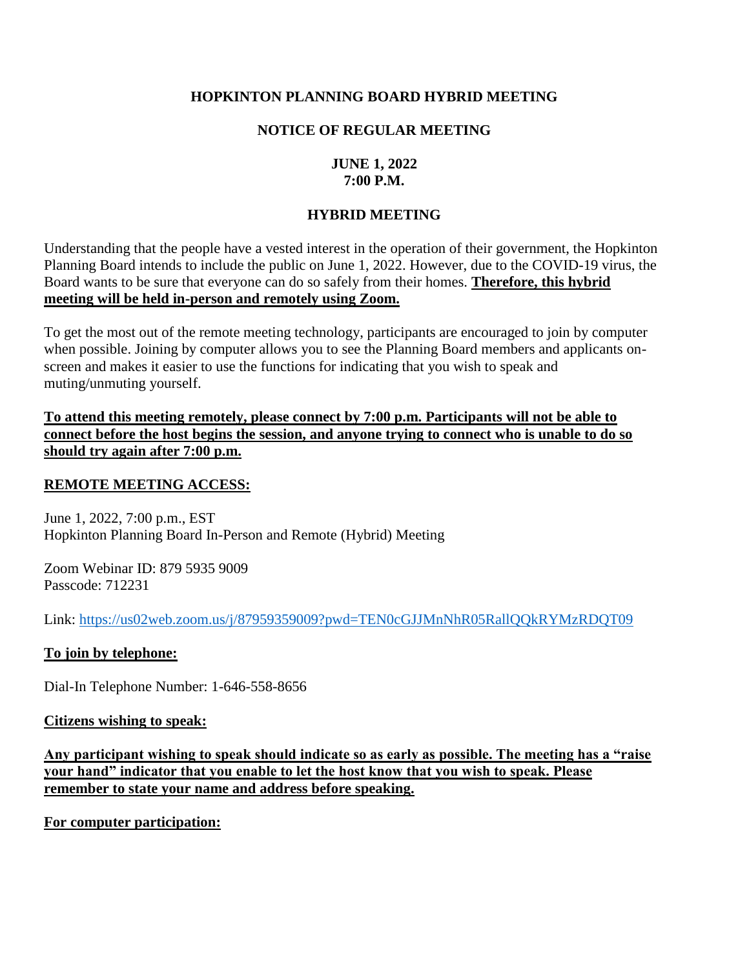## **HOPKINTON PLANNING BOARD HYBRID MEETING**

# **NOTICE OF REGULAR MEETING**

# **JUNE 1, 2022 7:00 P.M.**

# **HYBRID MEETING**

Understanding that the people have a vested interest in the operation of their government, the Hopkinton Planning Board intends to include the public on June 1, 2022. However, due to the COVID-19 virus, the Board wants to be sure that everyone can do so safely from their homes. **Therefore, this hybrid meeting will be held in-person and remotely using Zoom.**

To get the most out of the remote meeting technology, participants are encouraged to join by computer when possible. Joining by computer allows you to see the Planning Board members and applicants onscreen and makes it easier to use the functions for indicating that you wish to speak and muting/unmuting yourself.

**To attend this meeting remotely, please connect by 7:00 p.m. Participants will not be able to connect before the host begins the session, and anyone trying to connect who is unable to do so should try again after 7:00 p.m.** 

### **REMOTE MEETING ACCESS:**

June 1, 2022, 7:00 p.m., EST Hopkinton Planning Board In-Person and Remote (Hybrid) Meeting

Zoom Webinar ID: 879 5935 9009 Passcode: 712231

Link:<https://us02web.zoom.us/j/87959359009?pwd=TEN0cGJJMnNhR05RallQQkRYMzRDQT09>

#### **To join by telephone:**

Dial-In Telephone Number: 1-646-558-8656

#### **Citizens wishing to speak:**

**Any participant wishing to speak should indicate so as early as possible. The meeting has a "raise your hand" indicator that you enable to let the host know that you wish to speak. Please remember to state your name and address before speaking.** 

**For computer participation:**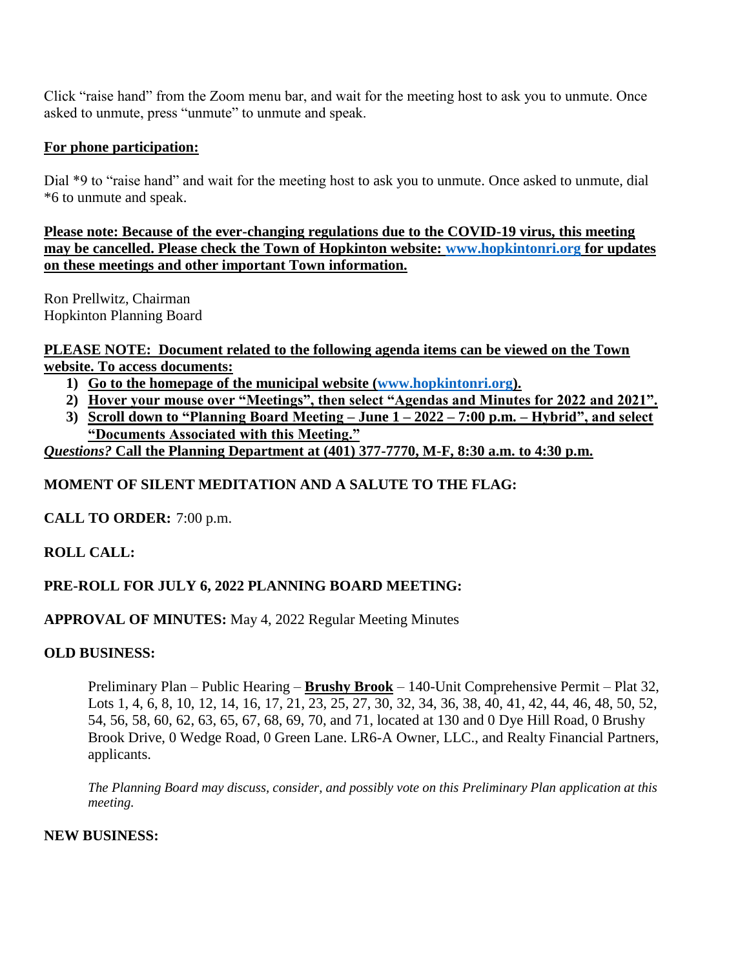Click "raise hand" from the Zoom menu bar, and wait for the meeting host to ask you to unmute. Once asked to unmute, press "unmute" to unmute and speak.

## **For phone participation:**

Dial \*9 to "raise hand" and wait for the meeting host to ask you to unmute. Once asked to unmute, dial \*6 to unmute and speak.

**Please note: Because of the ever-changing regulations due to the COVID-19 virus, this meeting may be cancelled. Please check the Town of Hopkinton website: [www.hopkintonri.org](http://www.hopkintonri.org/) for updates on these meetings and other important Town information.** 

Ron Prellwitz, Chairman Hopkinton Planning Board

**PLEASE NOTE: Document related to the following agenda items can be viewed on the Town website. To access documents:** 

- **1) Go to the homepage of the municipal website [\(www.hopkintonri.org\)](http://www.hopkintonri.org/).**
- **2) Hover your mouse over "Meetings", then select "Agendas and Minutes for 2022 and 2021".**
- **3) Scroll down to "Planning Board Meeting – June 1 – 2022 – 7:00 p.m. – Hybrid", and select "Documents Associated with this Meeting."**

*Questions?* **Call the Planning Department at (401) 377-7770, M-F, 8:30 a.m. to 4:30 p.m.**

# **MOMENT OF SILENT MEDITATION AND A SALUTE TO THE FLAG:**

**CALL TO ORDER:** 7:00 p.m.

# **ROLL CALL:**

# **PRE-ROLL FOR JULY 6, 2022 PLANNING BOARD MEETING:**

# **APPROVAL OF MINUTES:** May 4, 2022 Regular Meeting Minutes

## **OLD BUSINESS:**

Preliminary Plan – Public Hearing – **Brushy Brook** – 140-Unit Comprehensive Permit – Plat 32, Lots 1, 4, 6, 8, 10, 12, 14, 16, 17, 21, 23, 25, 27, 30, 32, 34, 36, 38, 40, 41, 42, 44, 46, 48, 50, 52, 54, 56, 58, 60, 62, 63, 65, 67, 68, 69, 70, and 71, located at 130 and 0 Dye Hill Road, 0 Brushy Brook Drive, 0 Wedge Road, 0 Green Lane. LR6-A Owner, LLC., and Realty Financial Partners, applicants.

*The Planning Board may discuss, consider, and possibly vote on this Preliminary Plan application at this meeting.* 

#### **NEW BUSINESS:**